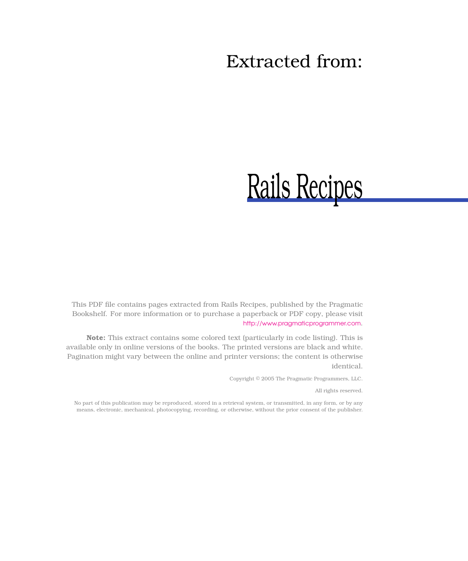### Extracted from:



This PDF file contains pages extracted from Rails Recipes, published by the Pragmatic Bookshelf. For more information or to purchase a paperback or PDF copy, please visit <http://www.pragmaticprogrammer.com>.

**Note:** This extract contains some colored text (particularly in code listing). This is available only in online versions of the books. The printed versions are black and white. Pagination might vary between the online and printer versions; the content is otherwise identical.

Copyright © 2005 The Pragmatic Programmers, LLC.

All rights reserved.

No part of this publication may be reproduced, stored in a retrieval system, or transmitted, in any form, or by any means, electronic, mechanical, photocopying, recording, or otherwise, without the prior consent of the publisher.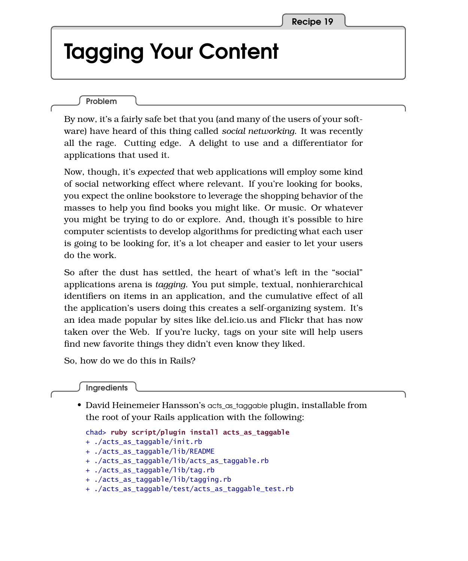### Tagging Your Content

#### Problem

By now, it's a fairly safe bet that you (and many of the users of your software) have heard of this thing called *social networking*. It was recently all the rage. Cutting edge. A delight to use and a differentiator for applications that used it.

Now, though, it's *expected* that web applications will employ some kind of social networking effect where relevant. If you're looking for books, you expect the online bookstore to leverage the shopping behavior of the masses to help you find books you might like. Or music. Or whatever you might be trying to do or explore. And, though it's possible to hire computer scientists to develop algorithms for predicting what each user is going to be looking for, it's a lot cheaper and easier to let your users do the work.

So after the dust has settled, the heart of what's left in the "social" applications arena is *tagging*. You put simple, textual, nonhierarchical identifiers on items in an application, and the cumulative effect of all the application's users doing this creates a self-organizing system. It's an idea made popular by sites like del.icio.us and Flickr that has now taken over the Web. If you're lucky, tags on your site will help users find new favorite things they didn't even know they liked.

So, how do we do this in Rails?

**Ingredients** 

• David Heinemeier Hansson's acts\_as\_taggable plugin, installable from the root of your Rails application with the following:

```
chad> ruby script/plugin install acts_as_taggable
+ ./acts_as_taggable/init.rb
+ ./acts_as_taggable/lib/README
+ ./acts_as_taggable/lib/acts_as_taggable.rb
+ ./acts_as_taggable/lib/tag.rb
+ ./acts_as_taggable/lib/tagging.rb
+ ./acts_as_taggable/test/acts_as_taggable_test.rb
```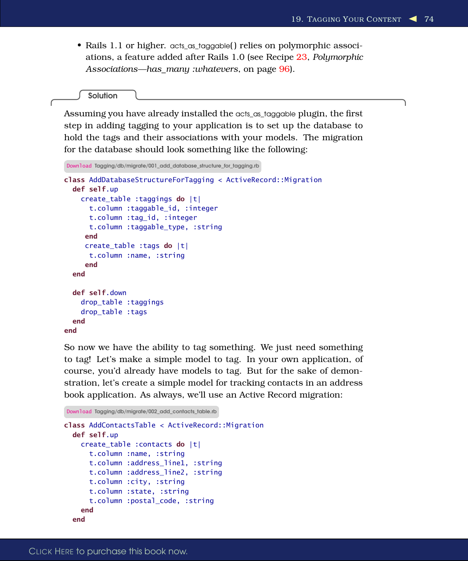• Rails 1.1 or higher, acts as taggable( ) relies on polymorphic associations, a feature added after Rails 1.0 (see Recipe 23, *Polymorphic Associations—has\_many :whatevers*, on page 96).

Solution

Assuming you have already installed the acts\_as\_taggable plugin, the first step in adding tagging to your application is to set up the database to hold the tags and their associations with your models. The migration for the database should look something like the following:

```
Download Tagging/db/migrate/001_add_database_structure_for_tagging.rb
class AddDatabaseStructureForTagging < ActiveRecord::Migration
  def self.up
    create_table :taggings do |t|
      t.column :taggable_id, :integer
      t.column :tag_id, :integer
      t.column :taggable_type, :string
     end
     create table : tags do |t|t.column :name, :string
     end
  end
  def self.down
    drop_table :taggings
    drop_table :tags
  end
end
```
So now we have the ability to tag something. We just need something to tag! Let's make a simple model to tag. In your own application, of course, you'd already have models to tag. But for the sake of demonstration, let's create a simple model for tracking contacts in an address book application. As always, we'll use an Active Record migration:

```
Download Tagging/db/migrate/002_add_contacts_table.rb
class AddContactsTable < ActiveRecord::Migration
  def self.up
    create_table :contacts do |t|
      t.column :name, :string
      t.column :address_line1, :string
      t.column :address_line2, :string
      t.column :city, :string
      t.column :state, :string
      t.column :postal_code, :string
    end
  end
```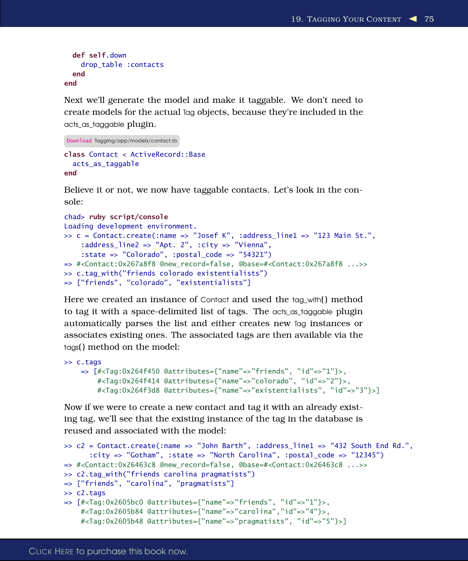```
def self.down
    drop_table :contacts
  end
end
```
Next we'll generate the model and make it taggable. We don't need to create models for the actual Tag objects, because they're included in the acts\_as\_taggable plugin.

```
Download Tagging/app/models/contact.rb
class Contact < ActiveRecord::Base
  acts_as_taggable
end
```
Believe it or not, we now have taggable contacts. Let's look in the console:

```
chad> ruby script/console
Loading development environment.
>> c = Contact.create(:name => "Josef K", :address_line1 => "123 Main St.",
    :address_line2 => "Apt. 2", :city => "Vienna",
    :state => "Colorado", :postal_code => "54321")
=> #<Contact:0x267a8f8 @new_record=false, @base=#<Contact:0x267a8f8 ...>>
>> c.tag_with("friends colorado existentialists")
=> ["friends", "colorado", "existentialists"]
```
Here we created an instance of Contact and used the tag\_with() method to tag it with a space-delimited list of tags. The acts\_as\_taggable plugin automatically parses the list and either creates new Tag instances or associates existing ones. The associated tags are then available via the tags( ) method on the model:

```
>> c.tags
   => [#<Tag:0x264f450 @attributes={"name"=>"friends", "id"=>"1"}>,
        #<Tag:0x264f414 @attributes={"name"=>"colorado", "id"=>"2"}>,
        #<Tag:0x264f3d8 @attributes={"name"=>"existentialists", "id"=>"3"}>]
```
Now if we were to create a new contact and tag it with an already existing tag, we'll see that the existing instance of the tag in the database is reused and associated with the model:

```
>> c2 = Contact.create(:name => "John Barth", :address_line1 => "432 South End Rd.",
      :city => "Gotham", :state => "North Carolina", :postal_code => "12345")
=> #<Contact:0x26463c8 @new_record=false, @base=#<Contact:0x26463c8 ...>>
>> c2.tag_with("friends carolina pragmatists")
=> ["friends", "carolina", "pragmatists"]
>> c2.tags
=> [#<Tag:0x2605bc0 @attributes={"name"=>"friends", "id"=>"1"}>,
   #<Tag:0x2605b84 @attributes={"name"=>"carolina","id"=>"4"}>,
    #<Tag:0x2605b48 @attributes={"name"=>"pragmatists", "id"=>"5"}>]
```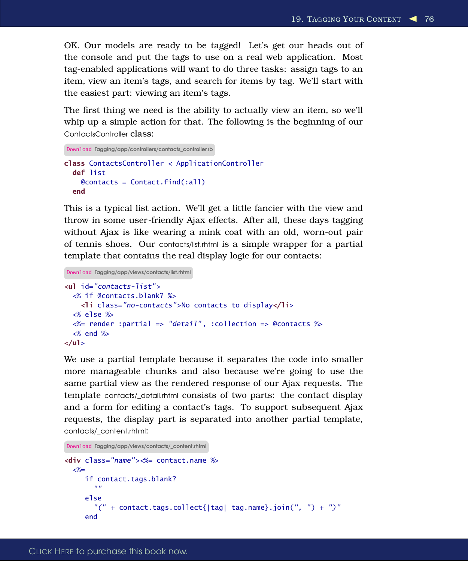OK. Our models are ready to be tagged! Let's get our heads out of the console and put the tags to use on a real web application. Most tag-enabled applications will want to do three tasks: assign tags to an item, view an item's tags, and search for items by tag. We'll start with the easiest part: viewing an item's tags.

The first thing we need is the ability to actually view an item, so we'll whip up a simple action for that. The following is the beginning of our ContactsController class:

```
Download Tagging/app/controllers/contacts_controller.rb
class ContactsController < ApplicationController
  def list
    @contacts = Contact.find(:all)end
```
This is a typical list action. We'll get a little fancier with the view and throw in some user-friendly Ajax effects. After all, these days tagging without Ajax is like wearing a mink coat with an old, worn-out pair of tennis shoes. Our contacts/list.rhtml is a simple wrapper for a partial template that contains the real display logic for our contacts:

```
Download Tagging/app/views/contacts/list.rhtml
<ul id="contacts-list">
  <% if @contacts.blank? %>
    <li class="no-contacts">No contacts to display</li>
  <% else %>
  \ll render : partial => "detail", : collection => @contacts %>
  <% end %>
\langle/ul>
```
We use a partial template because it separates the code into smaller more manageable chunks and also because we're going to use the same partial view as the rendered response of our Ajax requests. The template contacts/\_detail.rhtml consists of two parts: the contact display and a form for editing a contact's tags. To support subsequent Ajax requests, the display part is separated into another partial template, contacts/\_content.rhtml:

```
Download Tagging/app/views/contacts/_content.rhtml
<div class="name"><%= contact.name %>
  <\!\!\%=
      if contact.tags.blank?
          ""
      else
         "(" + contact.\ntags.collect\{\lceil \tan \mid \tan \tan \theta \rceil, \text{ i} oin(", ") + ")"
      end
```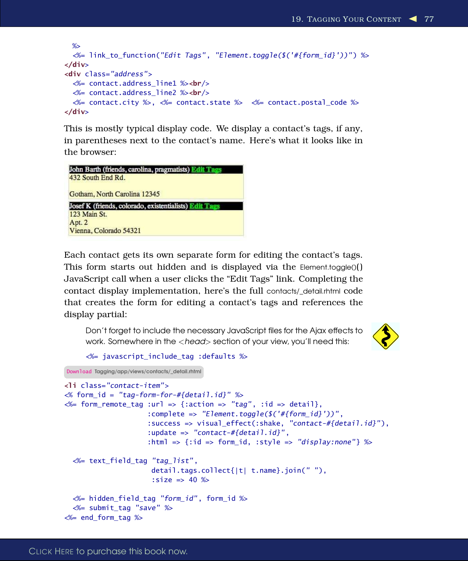```
%<%= link_to_function("Edit Tags", "Element.toggle($('#{form_id}'))") %>
</div>
<div class="address">
 \ll contact.address line1 %> <br/>br/>
 <%= contact.address_line2 %><br/>
 \ll contact.city %>, \ll contact.state %> \ll contact.postal code %>
</div>
```
This is mostly typical display code. We display a contact's tags, if any, in parentheses next to the contact's name. Here's what it looks like in the browser:



Each contact gets its own separate form for editing the contact's tags. This form starts out hidden and is displayed via the Element.toggle()() JavaScript call when a user clicks the "Edit Tags" link. Completing the contact display implementation, here's the full contacts/\_detail.rhtml code that creates the form for editing a contact's tags and references the display partial:

Don't forget to include the necessary JavaScript files for the Ajax effects to work. Somewhere in the  $\langle head \rangle$  section of your view, you'll need this:



```
<%= javascript_include_tag :defaults %>
```
Download [Tagging/app/views/contacts/\\_detail.rhtml](http://media.pragprog.com/titles/fr_rr/code/Tagging/app/views/contacts/_detail.rhtml)

```
<li class="contact-item">
\ll form_id = "tag-form-for-#{detail.id}" %>
\ll form_remote_tag :url => {:action => "tag", :id => detail},
                     : complete => "Element.toggle($('# {form_id}'))",
                     :success => visual_effect(:shake, "contact-#{detail.id}"),
                     :update => "contact-#{detail.id}",
                     :html \Rightarrow {:id \Rightarrow form_id, :style \Rightarrow "display:none"} %>
  <%= text_field_tag "tag_list",
                      detail.tags.collect{|t| t.name}.join(" "),
                      :size \implies 40 \%<%= hidden_field_tag "form_id", form_id %>
  <%= submit_tag "save" %>
<%= end_form_tag %>
```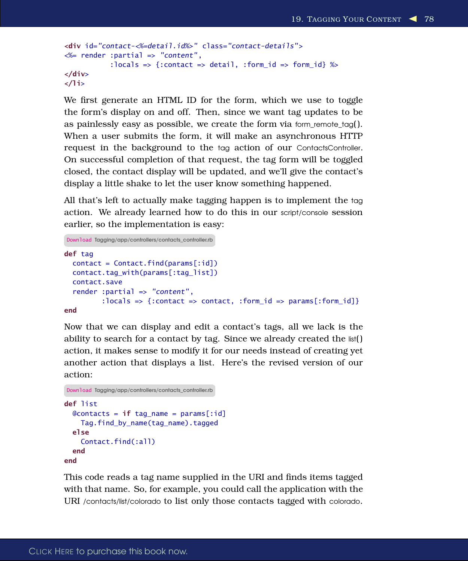```
<div id="contact-<%=detail.id%>" class="contact-details">
\ll render : partial => "content",
            :locals => {:contact => detail, :form id => form id} %>
\langlediv\rangle\langle/li>
```
We first generate an HTML ID for the form, which we use to toggle the form's display on and off. Then, since we want tag updates to be as painlessly easy as possible, we create the form via form\_remote\_tag( ). When a user submits the form, it will make an asynchronous HTTP request in the background to the tag action of our ContactsController. On successful completion of that request, the tag form will be toggled closed, the contact display will be updated, and we'll give the contact's display a little shake to let the user know something happened.

All that's left to actually make tagging happen is to implement the tag action. We already learned how to do this in our script/console session earlier, so the implementation is easy:

```
Download Tagging/app/controllers/contacts_controller.rb
def tag
  contact = Contact.find(params[:id])contact.tag_with(params[:tag_list])
  contact.save
  render : partial => "content",
          :locals => \{:contact => contact, :form_id => params[:form_id]}
end
```
Now that we can display and edit a contact's tags, all we lack is the ability to search for a contact by tag. Since we already created the list() action, it makes sense to modify it for our needs instead of creating yet another action that displays a list. Here's the revised version of our action:

```
Download Tagging/app/controllers/contacts_controller.rb
def list
  @contacts = if tag_name = params[:id]Tag.find_by_name(tag_name).tagged
  else
    Contact.find(:all)
  end
end
```
This code reads a tag name supplied in the URI and finds items tagged with that name. So, for example, you could call the application with the URI /contacts/list/colorado to list only those contacts tagged with colorado.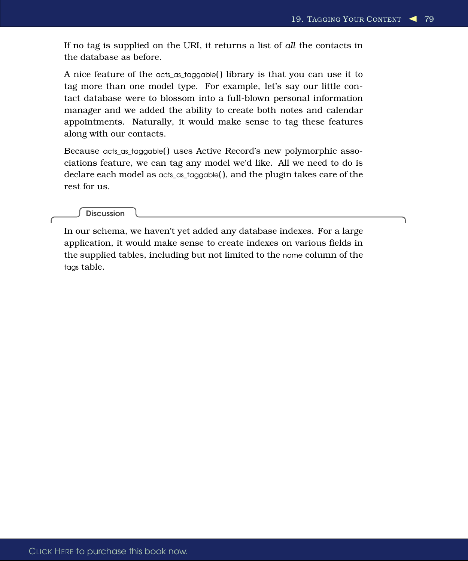If no tag is supplied on the URI, it returns a list of *all* the contacts in the database as before.

A nice feature of the acts\_as\_taggable( ) library is that you can use it to tag more than one model type. For example, let's say our little contact database were to blossom into a full-blown personal information manager and we added the ability to create both notes and calendar appointments. Naturally, it would make sense to tag these features along with our contacts.

Because acts\_as\_taggable( ) uses Active Record's new polymorphic associations feature, we can tag any model we'd like. All we need to do is declare each model as acts\_as\_taggable( ), and the plugin takes care of the rest for us.

**Discussion** 

In our schema, we haven't yet added any database indexes. For a large application, it would make sense to create indexes on various fields in the supplied tables, including but not limited to the name column of the tags table.